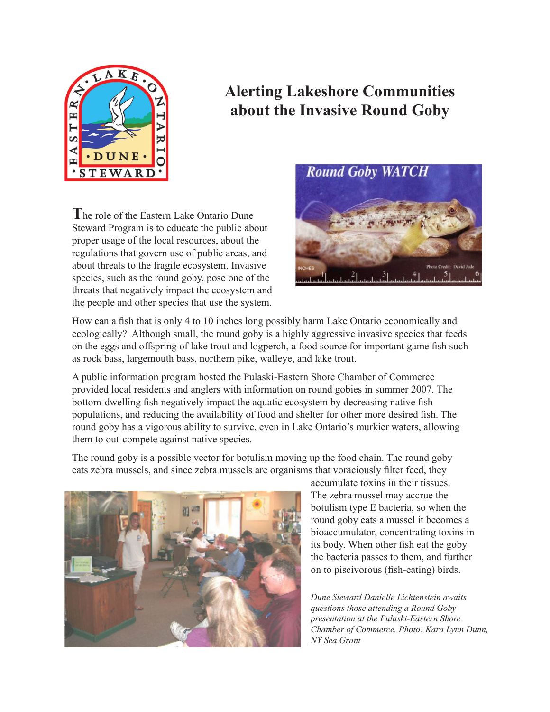

# **Alerting Lakeshore Communities about the Invasive Round Goby**

**T**he role of the Eastern Lake Ontario Dune Steward Program is to educate the public about proper usage of the local resources, about the regulations that govern use of public areas, and about threats to the fragile ecosystem. Invasive species, such as the round goby, pose one of the threats that negatively impact the ecosystem and the people and other species that use the system.



How can a fish that is only 4 to 10 inches long possibly harm Lake Ontario economically and ecologically? Although small, the round goby is a highly aggressive invasive species that feeds on the eggs and offspring of lake trout and logperch, a food source for important game fish such as rock bass, largemouth bass, northern pike, walleye, and lake trout.

A public information program hosted the Pulaski-Eastern Shore Chamber of Commerce provided local residents and anglers with information on round gobies in summer 2007. The bottom-dwelling fish negatively impact the aquatic ecosystem by decreasing native fish populations, and reducing the availability of food and shelter for other more desired fish. The round goby has a vigorous ability to survive, even in Lake Ontario's murkier waters, allowing them to out-compete against native species.

The round goby is a possible vector for botulism moving up the food chain. The round goby eats zebra mussels, and since zebra mussels are organisms that voraciously filter feed, they



accumulate toxins in their tissues. The zebra mussel may accrue the botulism type E bacteria, so when the round goby eats a mussel it becomes a bioaccumulator, concentrating toxins in its body. When other fish eat the goby the bacteria passes to them, and further on to piscivorous (fish-eating) birds.

*Dune Steward Danielle Lichtenstein awaits questions those attending a Round Goby presentation at the Pulaski-Eastern Shore Chamber of Commerce. Photo: Kara Lynn Dunn, NY Sea Grant*